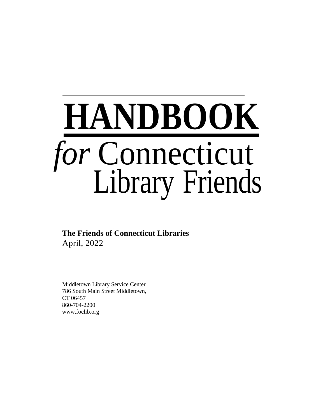

**The Friends of Connecticut Libraries** April, 2022

Middletown Library Service Center 786 South Main Street Middletown, CT 06457 860-704-2200 www.foclib.org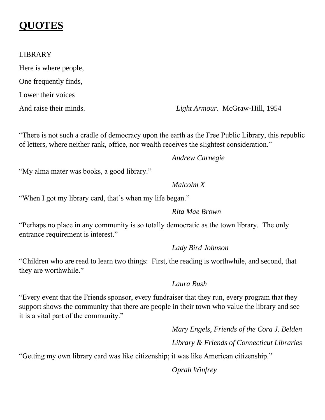### **QUOTES**

#### LIBRARY

Here is where people, One frequently finds, Lower their voices

And raise their minds. *Light Armour.* McGraw-Hill, 1954

"There is not such a cradle of democracy upon the earth as the Free Public Library, this republic of letters, where neither rank, office, nor wealth receives the slightest consideration."

*Andrew Carnegie*

"My alma mater was books, a good library."

#### *Malcolm X*

"When I got my library card, that's when my life began."

#### *Rita Mae Brown*

"Perhaps no place in any community is so totally democratic as the town library. The only entrance requirement is interest."

#### *Lady Bird Johnson*

"Children who are read to learn two things: First, the reading is worthwhile, and second, that they are worthwhile."

#### *Laura Bush*

"Every event that the Friends sponsor, every fundraiser that they run, every program that they support shows the community that there are people in their town who value the library and see it is a vital part of the community."

> *Mary Engels, Friends of the Cora J. Belden Library & Friends of Connecticut Libraries*

"Getting my own library card was like citizenship; it was like American citizenship."

*Oprah Winfrey*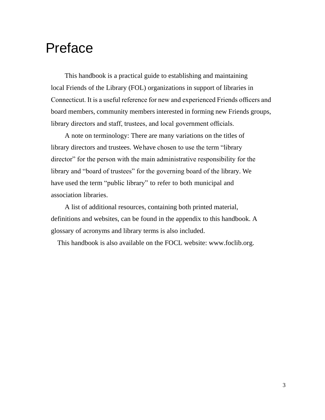## Preface

This handbook is a practical guide to establishing and maintaining local Friends of the Library (FOL) organizations in support of libraries in Connecticut. It is a useful reference for new and experienced Friends officers and board members, community members interested in forming new Friends groups, library directors and staff, trustees, and local government officials.

A note on terminology: There are many variations on the titles of library directors and trustees. We have chosen to use the term "library director" for the person with the main administrative responsibility for the library and "board of trustees" for the governing board of the library. We have used the term "public library" to refer to both municipal and association libraries.

A list of additional resources, containing both printed material, definitions and websites, can be found in the appendix to this handbook. A glossary of acronyms and library terms is also included.

This handbook is also available on the FOCL website: www.foclib.org.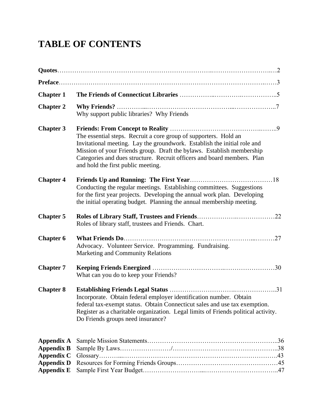### **TABLE OF CONTENTS**

| <b>Chapter 1</b>                                                                               |                                                                                                                                                                                                                                                                                                                                        |
|------------------------------------------------------------------------------------------------|----------------------------------------------------------------------------------------------------------------------------------------------------------------------------------------------------------------------------------------------------------------------------------------------------------------------------------------|
| <b>Chapter 2</b>                                                                               | Why support public libraries? Why Friends                                                                                                                                                                                                                                                                                              |
| <b>Chapter 3</b>                                                                               | The essential steps. Recruit a core group of supporters. Hold an<br>Invitational meeting. Lay the groundwork. Establish the initial role and<br>Mission of your Friends group. Draft the bylaws. Establish membership<br>Categories and dues structure. Recruit officers and board members. Plan<br>and hold the first public meeting. |
| <b>Chapter 4</b>                                                                               | Conducting the regular meetings. Establishing committees. Suggestions<br>for the first year projects. Developing the annual work plan. Developing<br>the initial operating budget. Planning the annual membership meeting.                                                                                                             |
| <b>Chapter 5</b>                                                                               | Roles of library staff, trustees and Friends. Chart.                                                                                                                                                                                                                                                                                   |
| <b>Chapter 6</b>                                                                               | Advocacy. Volunteer Service. Programming. Fundraising.<br>Marketing and Community Relations                                                                                                                                                                                                                                            |
| <b>Chapter 7</b>                                                                               | What can you do to keep your Friends?                                                                                                                                                                                                                                                                                                  |
| <b>Chapter 8</b>                                                                               | Incorporate. Obtain federal employer identification number. Obtain<br>federal tax-exempt status. Obtain Connecticut sales and use tax exemption.<br>Register as a charitable organization. Legal limits of Friends political activity.<br>Do Friends groups need insurance?                                                            |
| Appendix A<br><b>Appendix B</b><br><b>Appendix C</b><br><b>Appendix D</b><br><b>Appendix E</b> |                                                                                                                                                                                                                                                                                                                                        |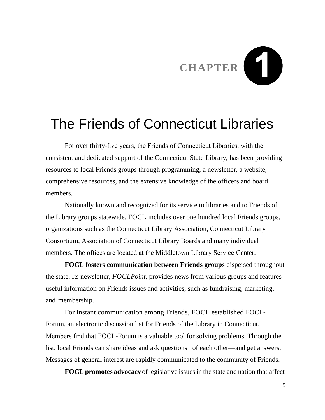# **CHAPTER**

## The Friends of Connecticut Libraries

For over thirty-five years, the Friends of Connecticut Libraries, with the consistent and dedicated support of the Connecticut State Library, has been providing resources to local Friends groups through programming, a newsletter, a website, comprehensive resources, and the extensive knowledge of the officers and board members.

Nationally known and recognized for its service to libraries and to Friends of the Library groups statewide, FOCL includes over one hundred local Friends groups, organizations such as the Connecticut Library Association, Connecticut Library Consortium, Association of Connecticut Library Boards and many individual members. The offices are located at the Middletown Library Service Center.

 **FOCL fosters communication between Friends groups** dispersed throughout the state. Its newsletter, *FOCLPoint*, provides news from various groups and features useful information on Friends issues and activities, such as fundraising, marketing, and membership.

 For instant communication among Friends, FOCL established FOCL-Forum, an electronic discussion list for Friends of the Library in Connecticut. Members find that FOCL-Forum is a valuable tool for solving problems. Through the list, local Friends can share ideas and ask questions of each other—and get answers. Messages of general interest are rapidly communicated to the community of Friends.

 **FOCL promotes advocacy** of legislative issuesin the state and nation that affect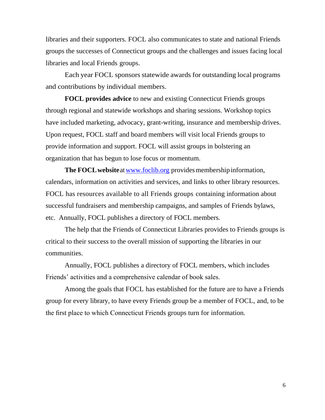libraries and their supporters. FOCL also communicates to state and national Friends groups the successes of Connecticut groups and the challenges and issues facing local libraries and local Friends groups.

Each year FOCL sponsors statewide awards for outstanding local programs and contributions by individual members.

 **FOCL provides advice** to new and existing Connecticut Friends groups through regional and statewide workshops and sharing sessions. Workshop topics have included marketing, advocacy, grant-writing, insurance and membership drives. Upon request, FOCL staff and board members will visit local Friends groups to provide information and support. FOCL will assist groups in bolstering an organization that has begun to lose focus or momentum.

**The FOCL website** at www.foclib.org provides membership information, calendars, information on activities and services, and links to other library resources. FOCL has resources available to all Friends groups containing information about successful fundraisers and membership campaigns, and samples of Friends bylaws, etc. Annually, FOCL publishes a directory of FOCL members.

 The help that the Friends of Connecticut Libraries provides to Friends groups is critical to their success to the overall mission of supporting the libraries in our communities.

Annually, FOCL publishes a directory of FOCL members, which includes Friends' activities and a comprehensive calendar of book sales.

Among the goals that FOCL has established for the future are to have a Friends group for every library, to have every Friends group be a member of FOCL, and, to be the first place to which Connecticut Friends groups turn for information.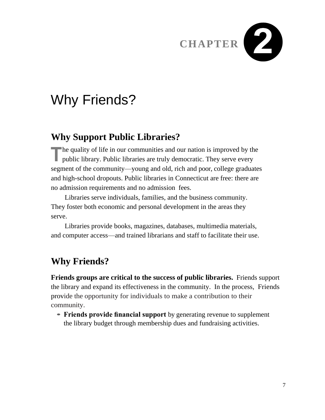

## Why Friends?

### **Why Support Public Libraries?**

The quality of life in our communities and our nation is improved by the public library. Public libraries are truly democratic. They serve every **h** the quality of life in our communities and our nation is improved by the segment of the community—young and old, rich and poor, college graduates and high-school dropouts. Public libraries in Connecticut are free: there are no admission requirements and no admission fees.

Libraries serve individuals, families, and the business community. They foster both economic and personal development in the areas they serve.

Libraries provide books, magazines, databases, multimedia materials, and computer access—and trained librarians and staff to facilitate their use.

### **Why Friends?**

**Friends groups are critical to the success of public libraries.** Friends support the library and expand its effectiveness in the community. In the process, Friends provide the opportunity for individuals to make a contribution to their community.

**• Friends provide financial support** by generating revenue to supplement the library budget through membership dues and fundraising activities.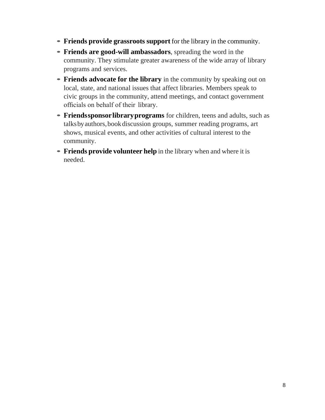- **• Friends provide grassroots support** for the library in the community.
- **• Friends are good-will ambassadors**, spreading the word in the community. They stimulate greater awareness of the wide array of library programs and services.
- **Friends advocate for the library** in the community by speaking out on local, state, and national issues that affect libraries. Members speak to civic groups in the community, attend meetings, and contact government officials on behalf of their library.
- **Friendssponsorlibrary programs** for children, teens and adults, such as talksbyauthors,bookdiscussion groups, summer reading programs, art shows, musical events, and other activities of cultural interest to the community.
- **• Friends provide volunteer help** in the library when and where it is needed.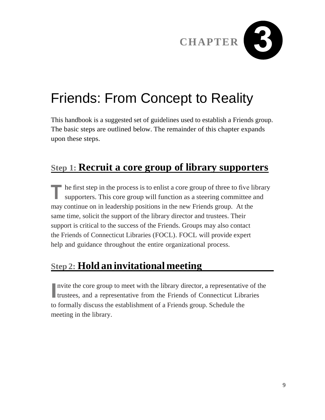

## Friends: From Concept to Reality

This handbook is a suggested set of guidelines used to establish a Friends group. The basic steps are outlined below. The remainder of this chapter expands upon these steps.

### **Step 1: Recruit a core group of library supporters**

The first step in the process is to enlist a core group of three to five library supporters. This core group will function as a steering committee and supporters. This core group will function as a steering committee and may continue on in leadership positions in the new Friends group. At the same time, solicit the support of the library director and trustees. Their support is critical to the success of the Friends. Groups may also contact the Friends of Connecticut Libraries (FOCL). FOCL will provide expert help and guidance throughout the entire organizational process.

### **Step 2: Hold aninvitational meeting**

Invite the core group to meet with the library director, a representative of the trustees, and a representative from the Friends of Connecticut Libraries nvite the core group to meet with the library director, a representative of the to formally discuss the establishment of a Friends group. Schedule the meeting in the library.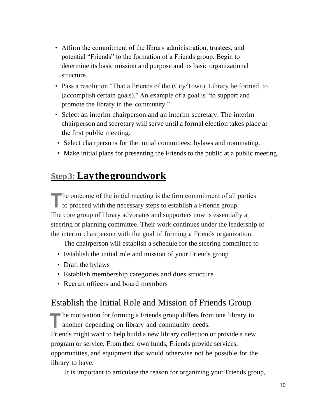- Affirm the commitment of the library administration, trustees, and potential "Friends" to the formation of a Friends group. Begin to determine its basic mission and purpose and its basic organizational structure.
- Pass a resolution "That a Friends of the (City/Town) Library be formed to (accomplish certain goals)." An example of a goal is "to support and promote the library in the community."
- Select an interim chairperson and an interim secretary. The interim chairperson and secretary will serve until a formal election takes place at the first public meeting.
- Select chairpersons for the initial committees: bylaws and nominating.
- Make initial plans for presenting the Friends to the public at a public meeting.

#### **Step3:Laythegroundwork**

The outcome of the initial meeting is the firm commitment of all proceed with the necessary steps to establish a Friends group. he outcome of the initial meeting is the firm commitment of all parties The core group of library advocates and supporters now is essentially a steering or planning committee. Their work continues under the leadership of the interim chairperson with the goal of forming a Friends organization.

The chairperson will establish a schedule for the steering committee to

- Establish the initial role and mission of your Friends group
- Draft the bylaws
- Establish membership categories and dues structure
- Recruit officers and board members

#### Establish the Initial Role and Mission of Friends Group

**The motivation for forming a Friends group differs from one library to another depending on library and community needs.** another depending on library and community needs. Friends might want to help build a new library collection or provide a new program or service. From their own funds, Friends provide services, opportunities, and equipment that would otherwise not be possible for the library to have.

It is important to articulate the reason for organizing your Friends group,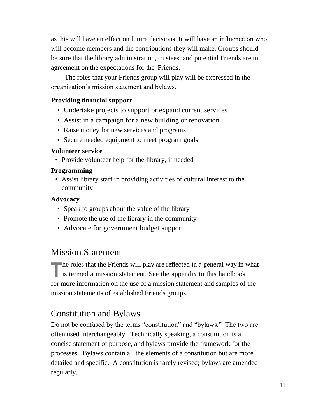as this will have an effect on future decisions. It will have an influence on who will become members and the contributions they will make. Groups should be sure that the library administration, trustees, and potential Friends are in agreement on the expectations for the Friends.

The roles that your Friends group will play will be expressed in the organization's mission statement and bylaws.

#### **Providing financial support**

- Undertake projects to support or expand current services
- Assist in a campaign for a new building or renovation
- Raise money for new services and programs
- Secure needed equipment to meet program goals

#### **Volunteer service**

• Provide volunteer help for the library, if needed

#### **Programming**

• Assist library staff in providing activities of cultural interest to the community

#### **Advocacy**

- Speak to groups about the value of the library
- Promote the use of the library in the community
- Advocate for government budget support

#### Mission Statement

**T** he roles that the Friends will play are reflected in a general way in is termed a mission statement. See the appendix to this handbook **h** the roles that the Friends will play are reflected in a general way in what for more information on the use of a mission statement and samples of the mission statements of established Friends groups.

#### Constitution and Bylaws

Do not be confused by the terms "constitution" and "bylaws." The two are often used interchangeably. Technically speaking, a constitution is a concise statement of purpose, and bylaws provide the framework for the processes. Bylaws contain all the elements of a constitution but are more detailed and specific. A constitution is rarely revised; bylaws are amended regularly.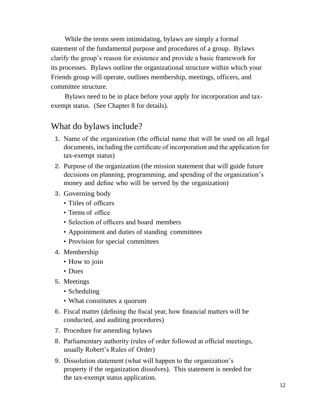While the terms seem intimidating, bylaws are simply a formal statement of the fundamental purpose and procedures of a group. Bylaws clarify the group's reason for existence and provide a basic framework for its processes. Bylaws outline the organizational structure within which your Friends group will operate, outlines membership, meetings, officers, and committee structure.

 Bylaws need to be in place before your apply for incorporation and taxexempt status. (See Chapter 8 for details).

#### What do bylaws include?

- **1.** Name of the organization (the official name that will be used on all legal documents, including the certificate of incorporation and the application for tax-exempt status)
- **2.** Purpose of the organization (the mission statement that will guide future decisions on planning, programming, and spending of the organization's money and define who will be served by the organization)
- **3.** Governing body
	- Titles of officers
	- Terms of office
	- Selection of officers and board members
	- Appointment and duties of standing committees
	- Provision for special committees
- **4.** Membership
	- How to join
	- Dues
- **5.** Meetings
	- Scheduling
	- What constitutes a quorum
- **6.** Fiscal matter (defining the fiscal year, how financial matters will be conducted, and auditing procedures)
- **7.** Procedure for amending bylaws
- **8.** Parliamentary authority (rules of order followed at official meetings, usually Robert's Rules of Order)
- **9.** Dissolution statement (what will happen to the organization's property if the organization dissolves). This statement is needed for the tax-exempt status application.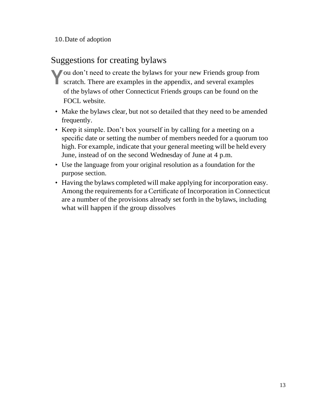**10.**Date of adoption

#### Suggestions for creating bylaws

- You don't need to create the bylaws for your new Friends group from scratch. There are examples in the appendix, and several examples scratch. There are examples in the appendix, and several examples of the bylaws of other Connecticut Friends groups can be found on the FOCL website.
	- Make the bylaws clear, but not so detailed that they need to be amended frequently.
	- Keep it simple. Don't box yourself in by calling for a meeting on a specific date or setting the number of members needed for a quorum too high. For example, indicate that your general meeting will be held every June, instead of on the second Wednesday of June at 4 p.m.
	- Use the language from your original resolution as a foundation for the purpose section.
	- Having the bylaws completed will make applying for incorporation easy. Among the requirements for a Certificate of Incorporation in Connecticut are a number of the provisions already set forth in the bylaws, including what will happen if the group dissolves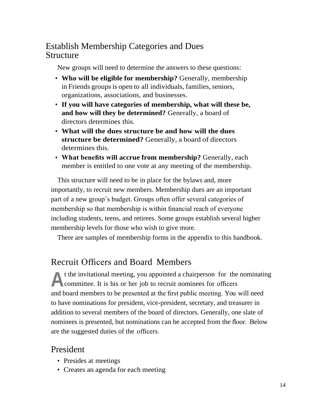#### Establish Membership Categories and Dues Structure

New groups will need to determine the answers to these questions:

- **Who will be eligible for membership?** Generally, membership in Friends groups is open to all individuals, families, seniors, organizations, associations, and businesses.
- **If you will have categories of membership, what will these be, and how will they be determined?** Generally, a board of directors determines this.
- **What will the dues structure be and how will the dues structure be determined?** Generally, a board of directors determines this.
- **What benefits will accrue from membership?** Generally, each member is entitled to one vote at any meeting of the membership.

This structure will need to be in place for the bylaws and, more importantly, to recruit new members. Membership dues are an important part of a new group's budget. Groups often offer several categories of membership so that membership is within financial reach of everyone including students, teens, and retirees. Some groups establish several higher membership levels for those who wish to give more.

There are samples of membership forms in the appendix to this handbook.

#### Recruit Officers and Board Members

A t the invitational meeting, you appointed a chairperson for the committee. It is his or her job to recruit nominees for officers t the invitational meeting, you appointed a chairperson for the nominating and board members to be presented at the first public meeting. You will need to have nominations for president, vice-president, secretary, and treasurer in addition to several members of the board of directors. Generally, one slate of nominees is presented, but nominations can be accepted from the floor. Below are the suggested duties of the officers.

#### President

- Presides at meetings
- Creates an agenda for each meeting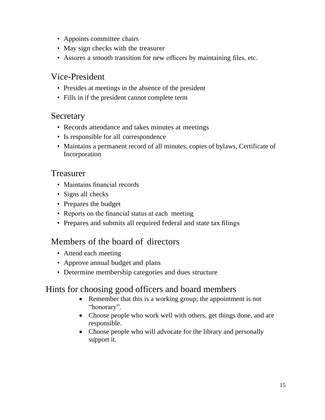- Appoints committee chairs
- May sign checks with the treasurer
- Assures a smooth transition for new officers by maintaining files, etc.

#### Vice-President

- Presides at meetings in the absence of the president
- Fills in if the president cannot complete term

#### Secretary

- Records attendance and takes minutes at meetings
- Is responsible for all correspondence
- Maintains a permanent record of all minutes, copies of bylaws, Certificate of Incorporation

#### Treasurer

- Maintains financial records
- Signs all checks
- Prepares the budget
- Reports on the financial status at each meeting
- Prepares and submits all required federal and state tax filings

#### Members of the board of directors

- Attend each meeting
- Approve annual budget and plans
- Determine membership categories and dues structure

#### Hints for choosing good officers and board members

- Remember that this is a working group; the appointment is not "honorary".
- Choose people who work well with others, get things done, and are responsible.
- Choose people who will advocate for the library and personally support it.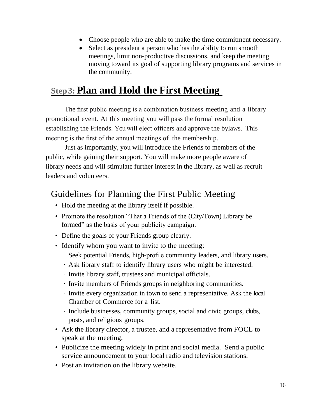- Choose people who are able to make the time commitment necessary.
- Select as president a person who has the ability to run smooth meetings, limit non-productive discussions, and keep the meeting moving toward its goal of supporting library programs and services in the community.

#### **Step3:Plan and Hold the First Meeting**

The first public meeting is a combination business meeting and a library promotional event. At this meeting you will pass the formal resolution establishing the Friends. You will elect officers and approve the bylaws. This meeting is the first of the annual meetings of the membership.

 Just as importantly, you will introduce the Friends to members of the public, while gaining their support. You will make more people aware of library needs and will stimulate further interest in the library, as well as recruit leaders and volunteers.

#### Guidelines for Planning the First Public Meeting

- Hold the meeting at the library itself if possible.
- Promote the resolution "That a Friends of the (City/Town) Library be formed" as the basis of your publicity campaign.
- Define the goals of your Friends group clearly.
- Identify whom you want to invite to the meeting:
	- Seek potential Friends, high-profile community leaders, and library users.
	- Ask library staff to identify library users who might be interested.
	- Invite library staff, trustees and municipal officials.
	- Invite members of Friends groups in neighboring communities.
	- Invite every organization in town to send a representative. Ask the local Chamber of Commerce for a list.
	- Include businesses, community groups, social and civic groups, clubs, posts, and religious groups.
- Ask the library director, a trustee, and a representative from FOCL to speak at the meeting.
- Publicize the meeting widely in print and social media. Send a public service announcement to your local radio and television stations.
- Post an invitation on the library website.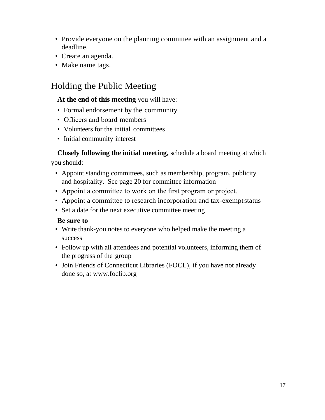- Provide everyone on the planning committee with an assignment and a deadline.
- Create an agenda.
- Make name tags.

#### Holding the Public Meeting

#### **At the end of this meeting** you will have:

- Formal endorsement by the community
- Officers and board members
- Volunteers for the initial committees
- Initial community interest

## **Closely following the initial meeting,** schedule a board meeting at which

you should:

- Appoint standing committees, such as membership, program, publicity and hospitality. See page 20 for committee information
- Appoint a committee to work on the first program or project.
- Appoint a committee to research incorporation and tax-exemptstatus
- Set a date for the next executive committee meeting

#### **Be sure to**

- Write thank-you notes to everyone who helped make the meeting a success
- Follow up with all attendees and potential volunteers, informing them of the progress of the group
- Join Friends of Connecticut Libraries (FOCL), if you have not already done so, at www.foclib.org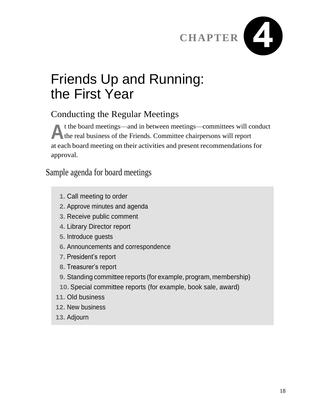

## Friends Up and Running: the First Year

#### Conducting the Regular Meetings

t the board meetings—and in between meetings—committees will c<br>the real business of the Friends. Committee chairpersons will report t the board meetings—and in between meetings—committees will conduct at each board meeting on their activities and present recommendations for approval.

Sample agenda for board meetings

- **1.** Call meeting to order
- **2.** Approve minutes and agenda
- **3.** Receive public comment
- **4.** Library Director report
- **5.** Introduce guests
- **6.** Announcements and correspondence
- **7.** President's report
- **8.** Treasurer's report
- **9.** Standing committee reports (for example, program, membership)
- **10.** Special committee reports (for example, book sale, award)
- **11.** Old business
- **12.** New business
- **13.** Adjourn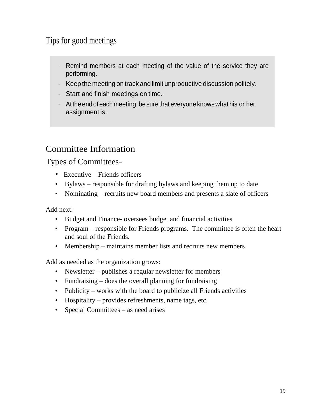#### Tips for good meetings

- Remind members at each meeting of the value of the service they are performing.
- Keep the meeting on track and limit unproductive discussion politely.
- Start and finish meetings on time.
- At the end of each meeting, be sure that everyone knowswhat his or her assignment is.

#### Committee Information

Types of Committees**–**

- Executive Friends officers
- Bylaws responsible for drafting bylaws and keeping them up to date
- Nominating recruits new board members and presents a slate of officers

Add next:

- Budget and Finance- oversees budget and financial activities
- Program responsible for Friends programs. The committee is often the heart and soul of the Friends.
- Membership maintains member lists and recruits new members

Add as needed as the organization grows:

- Newsletter publishes a regular newsletter for members
- Fundraising does the overall planning for fundraising
- Publicity works with the board to publicize all Friends activities
- Hospitality provides refreshments, name tags, etc.
- Special Committees as need arises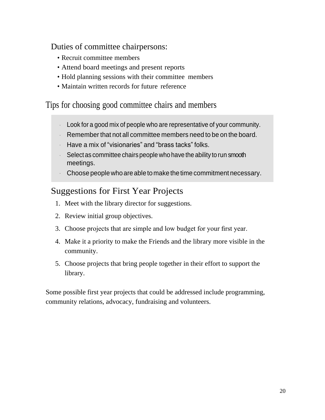Duties of committee chairpersons:

- Recruit committee members
- Attend board meetings and present reports
- Hold planning sessions with their committee members
- Maintain written records for future reference

Tips for choosing good committee chairs and members

- Look for a good mix of people who are representative of your community.
- Remember that not all committee members need to be on the board.
- Have a mix of "visionaries" and "brass tacks" folks.
- Select as committee chairs people who have the ability to run smooth meetings.
- Choose people who are able to make the time commitment necessary.

#### Suggestions for First Year Projects

- 1. Meet with the library director for suggestions.
- 2. Review initial group objectives.
- 3. Choose projects that are simple and low budget for your first year.
- 4. Make it a priority to make the Friends and the library more visible in the community.
- 5. Choose projects that bring people together in their effort to support the library.

Some possible first year projects that could be addressed include programming, community relations, advocacy, fundraising and volunteers.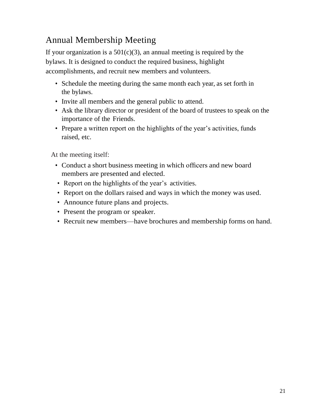#### Annual Membership Meeting

If your organization is a  $501(c)(3)$ , an annual meeting is required by the bylaws. It is designed to conduct the required business, highlight accomplishments, and recruit new members and volunteers.

- Schedule the meeting during the same month each year, as set forth in the bylaws.
- Invite all members and the general public to attend.
- Ask the library director or president of the board of trustees to speak on the importance of the Friends.
- Prepare a written report on the highlights of the year's activities, funds raised, etc.

At the meeting itself:

- Conduct a short business meeting in which officers and new board members are presented and elected.
- Report on the highlights of the year's activities.
- Report on the dollars raised and ways in which the money was used.
- Announce future plans and projects.
- Present the program or speaker.
- Recruit new members—have brochures and membership forms on hand.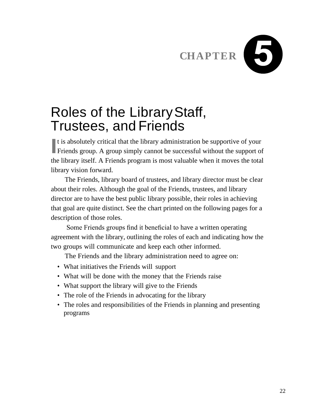

## Roles of the LibraryStaff, Trustees, and Friends

If is absolutely critical that the library administration be supportive of your<br>Friends group. A group simply cannot be successful without the support of Friends group. A group simply cannot be successful without the support of the library itself. A Friends program is most valuable when it moves the total library vision forward.

The Friends, library board of trustees, and library director must be clear about their roles. Although the goal of the Friends, trustees, and library director are to have the best public library possible, their roles in achieving that goal are quite distinct. See the chart printed on the following pages for a description of those roles.

Some Friends groups find it beneficial to have a written operating agreement with the library, outlining the roles of each and indicating how the two groups will communicate and keep each other informed.

The Friends and the library administration need to agree on:

- What initiatives the Friends will support
- What will be done with the money that the Friends raise
- What support the library will give to the Friends
- The role of the Friends in advocating for the library
- The roles and responsibilities of the Friends in planning and presenting programs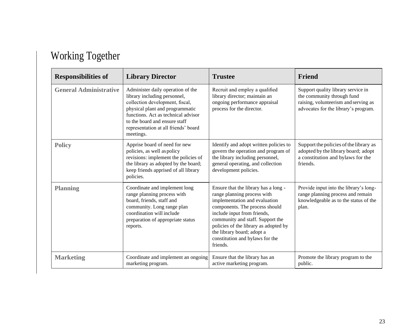|  | <b>Working Together</b> |
|--|-------------------------|
|--|-------------------------|

| <b>Responsibilities of</b>    | <b>Library Director</b>                                                                                                                                                                                                                                              | <b>Trustee</b>                                                                                                                                                                                                                                                                                                                  | Friend                                                                                                                                           |
|-------------------------------|----------------------------------------------------------------------------------------------------------------------------------------------------------------------------------------------------------------------------------------------------------------------|---------------------------------------------------------------------------------------------------------------------------------------------------------------------------------------------------------------------------------------------------------------------------------------------------------------------------------|--------------------------------------------------------------------------------------------------------------------------------------------------|
| <b>General Administrative</b> | Administer daily operation of the<br>library including personnel,<br>collection development, fiscal,<br>physical plant and programmatic<br>functions. Act as technical advisor<br>to the board and ensure staff<br>representation at all friends' board<br>meetings. | Recruit and employ a qualified<br>library director; maintain an<br>ongoing performance appraisal<br>process for the director.                                                                                                                                                                                                   | Support quality library service in<br>the community through fund<br>raising, volunteerism and serving as<br>advocates for the library's program. |
| <b>Policy</b>                 | Apprise board of need for new<br>policies, as well as policy<br>revisions: implement the policies of<br>the library as adopted by the board;<br>keep friends apprised of all library<br>policies.                                                                    | Identify and adopt written policies to<br>govern the operation and program of<br>the library including personnel,<br>general operating, and collection<br>development policies.                                                                                                                                                 | Support the policies of the library as<br>adopted by the library board; adopt<br>a constitution and bylaws for the<br>friends.                   |
| <b>Planning</b>               | Coordinate and implement long<br>range planning process with<br>board, friends, staff and<br>community. Long range plan<br>coordination will include<br>preparation of appropriate status<br>reports.                                                                | Ensure that the library has a long -<br>range planning process with<br>implementation and evaluation<br>components. The process should<br>include input from friends,<br>community and staff. Support the<br>policies of the library as adopted by<br>the library board; adopt a<br>constitution and bylaws for the<br>friends. | Provide input into the library's long-<br>range planning process and remain<br>knowledgeable as to the status of the<br>plan.                    |
| <b>Marketing</b>              | Coordinate and implement an ongoing<br>marketing program.                                                                                                                                                                                                            | Ensure that the library has an<br>active marketing program.                                                                                                                                                                                                                                                                     | Promote the library program to the<br>public.                                                                                                    |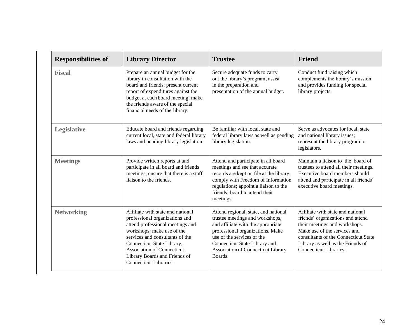| <b>Responsibilities of</b> | <b>Library Director</b>                                                                                                                                                                                                                                                                                | <b>Trustee</b>                                                                                                                                                                                                                                                           | <b>Friend</b>                                                                                                                                                                                                                                  |
|----------------------------|--------------------------------------------------------------------------------------------------------------------------------------------------------------------------------------------------------------------------------------------------------------------------------------------------------|--------------------------------------------------------------------------------------------------------------------------------------------------------------------------------------------------------------------------------------------------------------------------|------------------------------------------------------------------------------------------------------------------------------------------------------------------------------------------------------------------------------------------------|
| <b>Fiscal</b>              | Prepare an annual budget for the<br>library in consultation with the<br>board and friends; present current<br>report of expenditures against the<br>budget at each board meeting; make<br>the friends aware of the special<br>financial needs of the library.                                          | Secure adequate funds to carry<br>out the library's program; assist<br>in the preparation and<br>presentation of the annual budget.                                                                                                                                      | Conduct fund raising which<br>complements the library's mission<br>and provides funding for special<br>library projects.                                                                                                                       |
| <b>Legislative</b>         | Educate board and friends regarding<br>current local, state and federal library<br>laws and pending library legislation.                                                                                                                                                                               | Be familiar with local, state and<br>federal library laws as well as pending<br>library legislation.                                                                                                                                                                     | Serve as advocates for local, state<br>and national library issues;<br>represent the library program to<br>legislators.                                                                                                                        |
| <b>Meetings</b>            | Provide written reports at and<br>participate in all board and friends<br>meetings; ensure that there is a staff<br>liaison to the friends.                                                                                                                                                            | Attend and participate in all board<br>meetings and see that accurate<br>records are kept on file at the library;<br>comply with Freedom of Information<br>regulations; appoint a liaison to the<br>friends' board to attend their<br>meetings.                          | Maintain a liaison to the board of<br>trustees to attend all their meetings.<br>Executive board members should<br>attend and participate in all friends'<br>executive board meetings.                                                          |
| <b>Networking</b>          | Affiliate with state and national<br>professional organizations and<br>attend professional meetings and<br>workshops; make use of the<br>services and consultants of the<br>Connecticut State Library,<br><b>Association of Connecticut</b><br>Library Boards and Friends of<br>Connecticut Libraries. | Attend regional, state, and national<br>trustee meetings and workshops,<br>and affiliate with the appropriate<br>professional organizations. Make<br>use of the services of the<br>Connecticut State Library and<br><b>Association of Connecticut Library</b><br>Boards. | Affiliate with state and national<br>friends' organizations and attend<br>their meetings and workshops.<br>Make use of the services and<br>consultants of the Connecticut State<br>Library as well as the Friends of<br>Connecticut Libraries. |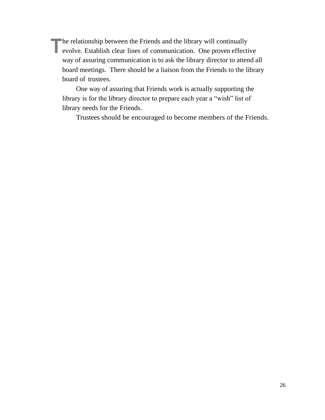**The relationship between the Friends and the library will continually evolve. Establish clear lines of communication. One proven effective**  $\blacksquare$  he relationship between the Friends and the library will continually way of assuring communication is to ask the library director to attend all board meetings. There should be a liaison from the Friends to the library board of trustees.

One way of assuring that Friends work is actually supporting the library is for the library director to prepare each year a "wish" list of library needs for the Friends.

Trustees should be encouraged to become members of the Friends.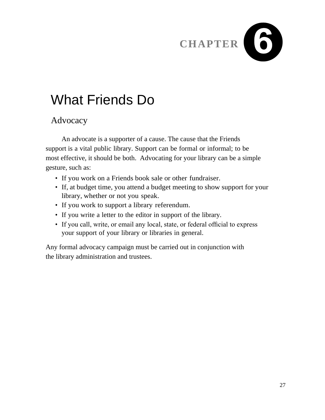# CHAPTER<sup>6</sup>

## What Friends Do

#### Advocacy

An advocate is a supporter of a cause. The cause that the Friends support is a vital public library. Support can be formal or informal; to be most effective, it should be both. Advocating for your library can be a simple gesture, such as:

- If you work on a Friends book sale or other fundraiser.
- If, at budget time, you attend a budget meeting to show support for your library, whether or not you speak.
- If you work to support a library referendum.
- If you write a letter to the editor in support of the library.
- If you call, write, or email any local, state, or federal official to express your support of your library or libraries in general.

Any formal advocacy campaign must be carried out in conjunction with the library administration and trustees.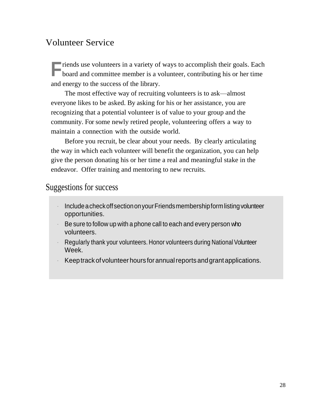#### Volunteer Service

**Finds** use volunteers in a variety of ways to accomplish their goals. Each board and committee member is a volunteer, contributing his or her time board and committee member is a volunteer, contributing his or her time and energy to the success of the library.

The most effective way of recruiting volunteers is to ask—almost everyone likes to be asked. By asking for his or her assistance, you are recognizing that a potential volunteer is of value to your group and the community. For some newly retired people, volunteering offers a way to maintain a connection with the outside world.

Before you recruit, be clear about your needs. By clearly articulating the way in which each volunteer will benefit the organization, you can help give the person donating his or her time a real and meaningful stake in the endeavor. Offer training and mentoring to new recruits.

#### Suggestions for success

- IncludeacheckoffsectiononyourFriendsmembershipformlistingvolunteer opportunities.
- Be sure to follow up with a phone call to each and every person who volunteers.
- Regularly thank your volunteers. Honor volunteers during National Volunteer Week.
- Keep track of volunteer hours for annual reports and grant applications.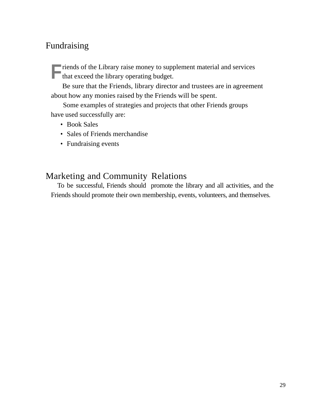#### Fundraising

**Finds of the Library raise money to supprend that exceed the library operating budget.** riends of the Library raise money to supplement material and services

Be sure that the Friends, library director and trustees are in agreement about how any monies raised by the Friends will be spent.

 Some examples of strategies and projects that other Friends groups have used successfully are:

- Book Sales
- Sales of Friends merchandise
- Fundraising events

#### Marketing and Community Relations

To be successful, Friends should promote the library and all activities, and the Friends should promote their own membership, events, volunteers, and themselves.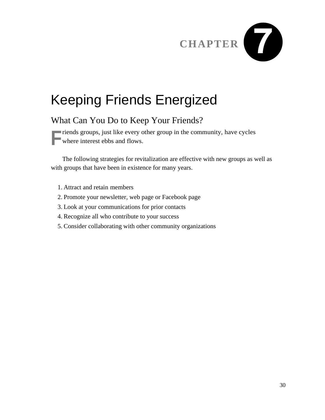# **CHAPTER**

## Keeping Friends Energized

#### What Can You Do to Keep Your Friends?

**Finds** groups, just like every other group in the community, have cycles where interest ebbs and flows. where interest ebbs and flows.

The following strategies for revitalization are effective with new groups as well as with groups that have been in existence for many years.

- 1. Attract and retain members
- 2. Promote your newsletter, web page or Facebook page
- 3. Look at your communications for prior contacts
- 4. Recognize all who contribute to your success
- 5. Consider collaborating with other community organizations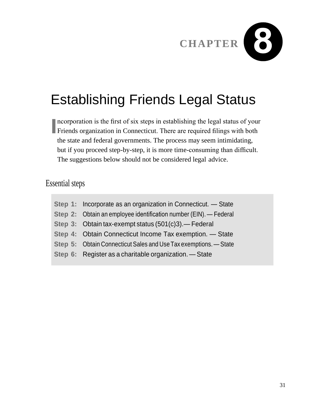

## Establishing Friends Legal Status

**I** ncorporation is the first of six steps in establishing the legal status of your<br>Friends organization in Connecticut. There are required filings with both ncorporation is the first of six steps in establishing the legal status of your the state and federal governments. The process may seem intimidating, but if you proceed step-by-step, it is more time-consuming than difficult. The suggestions below should not be considered legal advice.

#### Essential steps

| Step 1: Incorporate as an organization in Connecticut. - State    |
|-------------------------------------------------------------------|
| Step 2: Obtain an employee identification number (EIN). - Federal |
| Step 3: Obtain tax-exempt status (501(c)3). - Federal             |
| Step 4: Obtain Connecticut Income Tax exemption. - State          |
| Step 5: Obtain Connecticut Sales and Use Tax exemptions. - State  |
| Step 6: Register as a charitable organization. - State            |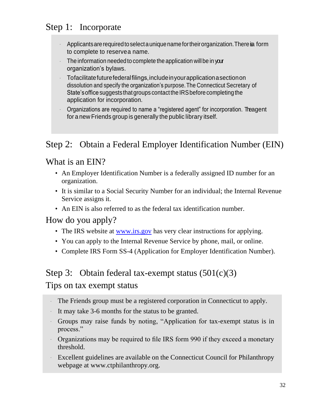#### Step 1: Incorporate

- Applicants are required to select a unique name for their organization. There in form to complete to reservea name.
- The information needed to complete the application will be in your organization's bylaws.
- Tofacilitatefuturefederalfilings,includeinyourapplicationasectionon dissolution and specify the organization's purpose.The Connecticut Secretary of State's office suggests that groups contact the IRS before completing the application for incorporation.
- Organizations are required to name a "registered agent" for incorporation. The agent for a new Friends group is generally the public library itself.

#### Step 2: Obtain a Federal Employer Identification Number (EIN)

#### What is an EIN?

- An Employer Identification Number is a federally assigned ID number for an organization.
- It is similar to a Social Security Number for an individual; the Internal Revenue Service assigns it.
- An EIN is also referred to as the federal tax identification number.

#### How do you apply?

- The IRS website at [www.irs.gov](http://www.irs.gov/) has very clear instructions for applying.
- You can apply to the Internal Revenue Service by phone, mail, or online.
- Complete IRS Form SS-4 (Application for Employer Identification Number).

#### Step 3: Obtain federal tax-exempt status  $(501(c)(3))$

#### Tips on tax exempt status

- The Friends group must be a registered corporation in Connecticut to apply.
- It may take 3-6 months for the status to be granted.
- Groups may raise funds by noting, "Application for tax-exempt status is in process."
- Organizations may be required to file IRS form 990 if they exceed a monetary threshold.
- Excellent guidelines are available on the Connecticut Council for Philanthropy webpage at www.ctphilanthropy.org.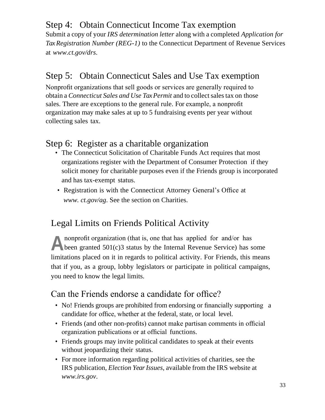#### Step 4: Obtain Connecticut Income Tax exemption

Submit a copy of your *IRS determination letter* along with a completed *Application for Tax Registration Number (REG-1)* to the Connecticut Department of Revenue Services at *[www.ct.gov/drs](http://www.ct.gov/drs)*.

#### Step 5: Obtain Connecticut Sales and Use Tax exemption

Nonprofit organizations that sell goods or services are generally required to obtain a *Connecticut Sales and Use TaxPermit* and to collectsalestax on those sales. There are exceptions to the general rule. For example, a nonprofit organization may make sales at up to 5 fundraising events per year without collecting sales tax.

#### Step 6: Register as a charitable organization

- The Connecticut Solicitation of Charitable Funds Act requires that most organizations register with the Department of Consumer Protection if they solicit money for charitable purposes even if the Friends group is incorporated and has tax-exempt status.
- Registration is with the Connecticut Attorney General's Office at *[www. c](http://www/)t.gov/ag*. See the section on Charities.

#### Legal Limits on Friends Political Activity

**A** nonprofit organization (that is, one that has applied for and/or has been granted 501(c)3 status by the Internal Revenue Service) has some nonprofit organization (that is, one that has applied for and/or has limitations placed on it in regards to political activity. For Friends, this means that if you, as a group, lobby legislators or participate in political campaigns, you need to know the legal limits.

#### Can the Friends endorse a candidate for office?

- No! Friends groups are prohibited from endorsing or financially supporting a candidate for office, whether at the federal, state, or local level.
- Friends (and other non-profits) cannot make partisan comments in official organization publications or at official functions.
- Friends groups may invite political candidates to speak at their events without jeopardizing their status.
- For more information regarding political activities of charities, see the IRS publication, *Election YearIssues*, available from the IRS website a[t](http://www.irs.gov/) *[www.irs.gov](http://www.irs.gov/)*.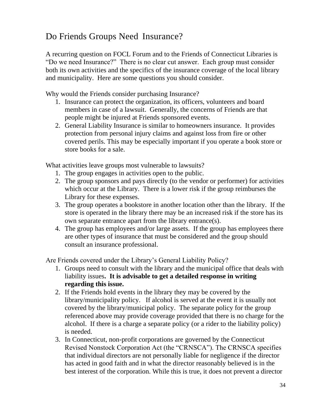#### Do Friends Groups Need Insurance?

A recurring question on FOCL Forum and to the Friends of Connecticut Libraries is "Do we need Insurance?" There is no clear cut answer. Each group must consider both its own activities and the specifics of the insurance coverage of the local library and municipality. Here are some questions you should consider.

Why would the Friends consider purchasing Insurance?

- 1. Insurance can protect the organization, its officers, volunteers and board members in case of a lawsuit. Generally, the concerns of Friends are that people might be injured at Friends sponsored events.
- 2. General Liability Insurance is similar to homeowners insurance. It provides protection from personal injury claims and against loss from fire or other covered perils. This may be especially important if you operate a book store or store books for a sale.

What activities leave groups most vulnerable to lawsuits?

- 1. The group engages in activities open to the public.
- 2. The group sponsors and pays directly (to the vendor or performer) for activities which occur at the Library. There is a lower risk if the group reimburses the Library for these expenses.
- 3. The group operates a bookstore in another location other than the library. If the store is operated in the library there may be an increased risk if the store has its own separate entrance apart from the library entrance(s).
- 4. The group has employees and/or large assets. If the group has employees there are other types of insurance that must be considered and the group should consult an insurance professional.

Are Friends covered under the Library's General Liability Policy?

- 1. Groups need to consult with the library and the municipal office that deals with liability issues**. It is advisable to get a detailed response in writing regarding this issue.**
- 2. If the Friends hold events in the library they may be covered by the library/municipality policy. If alcohol is served at the event it is usually not covered by the library/municipal policy. The separate policy for the group referenced above may provide coverage provided that there is no charge for the alcohol. If there is a charge a separate policy (or a rider to the liability policy) is needed.
- 3. In Connecticut, non-profit corporations are governed by the Connecticut Revised Nonstock Corporation Act (the "CRNSCA"). The CRNSCA specifies that individual directors are not personally liable for negligence if the director has acted in good faith and in what the director reasonably believed is in the best interest of the corporation. While this is true, it does not prevent a director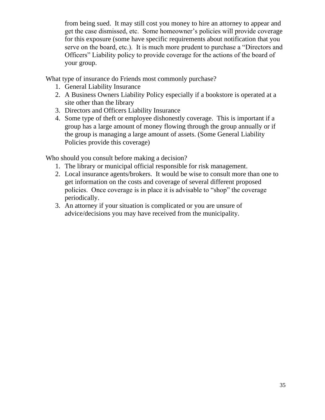from being sued. It may still cost you money to hire an attorney to appear and get the case dismissed, etc. Some homeowner's policies will provide coverage for this exposure (some have specific requirements about notification that you serve on the board, etc.). It is much more prudent to purchase a "Directors and Officers" Liability policy to provide coverage for the actions of the board of your group.

What type of insurance do Friends most commonly purchase?

- 1. General Liability Insurance
- 2. A Business Owners Liability Policy especially if a bookstore is operated at a site other than the library
- 3. Directors and Officers Liability Insurance
- 4. Some type of theft or employee dishonestly coverage. This is important if a group has a large amount of money flowing through the group annually or if the group is managing a large amount of assets. (Some General Liability Policies provide this coverage)

Who should you consult before making a decision?

- 1. The library or municipal official responsible for risk management.
- 2. Local insurance agents/brokers. It would be wise to consult more than one to get information on the costs and coverage of several different proposed policies. Once coverage is in place it is advisable to "shop" the coverage periodically.
- 3. An attorney if your situation is complicated or you are unsure of advice/decisions you may have received from the municipality.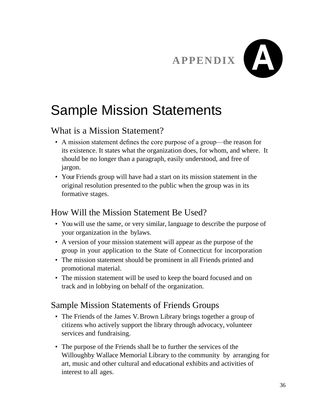

## Sample Mission Statements

#### What is a Mission Statement?

- A mission statement defines the core purpose of a group—the reason for its existence. It states what the organization does, for whom, and where. It should be no longer than a paragraph, easily understood, and free of jargon.
- Your Friends group will have had a start on its mission statement in the original resolution presented to the public when the group was in its formative stages.

#### How Will the Mission Statement Be Used?

- You will use the same, or very similar, language to describe the purpose of your organization in the bylaws.
- A version of your mission statement will appear as the purpose of the group in your application to the State of Connecticut for incorporation
- The mission statement should be prominent in all Friends printed and promotional material.
- The mission statement will be used to keep the board focused and on track and in lobbying on behalf of the organization.

#### Sample Mission Statements of Friends Groups

- The Friends of the James V. Brown Library brings together a group of citizens who actively support the library through advocacy, volunteer services and fundraising.
- The purpose of the Friends shall be to further the services of the Willoughby Wallace Memorial Library to the community by arranging for art, music and other cultural and educational exhibits and activities of interest to all ages.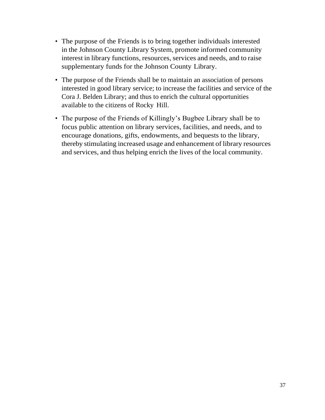- The purpose of the Friends is to bring together individuals interested in the Johnson County Library System, promote informed community interest in library functions, resources, services and needs, and to raise supplementary funds for the Johnson County Library.
- The purpose of the Friends shall be to maintain an association of persons interested in good library service; to increase the facilities and service of the Cora J. Belden Library; and thus to enrich the cultural opportunities available to the citizens of Rocky Hill.
- The purpose of the Friends of Killingly's Bugbee Library shall be to focus public attention on library services, facilities, and needs, and to encourage donations, gifts, endowments, and bequests to the library, thereby stimulating increased usage and enhancement of library resources and services, and thus helping enrich the lives of the local community.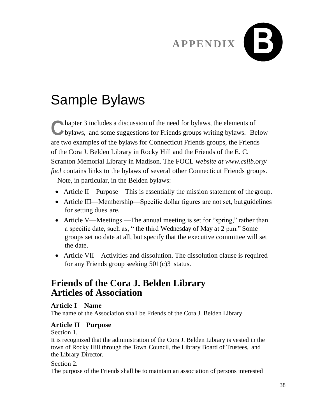## **APPENDIX**



## Sample Bylaws

**C** hapter 3 includes a discussion of the need for bylaws, the elements of bylaws, and some suggestions for Friends groups writing bylaws. Below hapter 3 includes a discussion of the need for bylaws, the elements of are two examples of the bylaws for Connecticut Friends groups, the Friends of the Cora J. Belden Library in Rocky Hill and the Friends of the E. C. Scranton Memorial Library in Madison. The FOCL *website at [www.cslib.org/](http://www.cslib.org/focl) [focl](http://www.cslib.org/focl)* contains links to the bylaws of several other Connecticut Friends groups.

Note, in particular, in the Belden bylaws:

- Article II—Purpose—This is essentially the mission statement of the group.
- Article III—Membership—Specific dollar figures are not set, butguidelines for setting dues are.
- Article V—Meetings —The annual meeting is set for "spring," rather than a specific date, such as, " the third Wednesday of May at 2 p.m." Some groups set no date at all, but specify that the executive committee will set the date.
- Article VII—Activities and dissolution. The dissolution clause is required for any Friends group seeking 501(c)3 status.

#### **Friends of the Cora J. Belden Library Articles of Association**

#### **Article I Name**

The name of the Association shall be Friends of the Cora J. Belden Library.

#### **Article II Purpose**

Section 1.

It is recognized that the administration of the Cora J. Belden Library is vested in the town of Rocky Hill through the Town Council, the Library Board of Trustees, and the Library Director.

#### Section 2.

The purpose of the Friends shall be to maintain an association of persons interested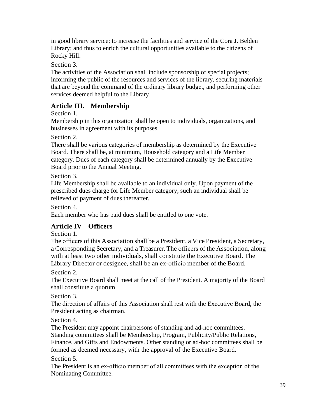in good library service; to increase the facilities and service of the Cora J. Belden Library; and thus to enrich the cultural opportunities available to the citizens of Rocky Hill.

Section 3.

The activities of the Association shall include sponsorship of special projects; informing the public of the resources and services of the library, securing materials that are beyond the command of the ordinary library budget, and performing other services deemed helpful to the Library.

#### **Article III. Membership**

Section 1.

Membership in this organization shall be open to individuals, organizations, and businesses in agreement with its purposes.

Section 2.

There shall be various categories of membership as determined by the Executive Board. There shall be, at minimum, Household category and a Life Member category. Dues of each category shall be determined annually by the Executive Board prior to the Annual Meeting.

Section 3.

Life Membership shall be available to an individual only. Upon payment of the prescribed dues charge for Life Member category, such an individual shall be relieved of payment of dues thereafter.

Section 4.

Each member who has paid dues shall be entitled to one vote.

#### **Article IV Officers**

Section 1.

The officers of this Association shall be a President, a Vice President, a Secretary, a Corresponding Secretary, and a Treasurer. The officers of the Association, along with at least two other individuals, shall constitute the Executive Board. The Library Director or designee, shall be an ex-officio member of the Board.

Section 2.

The Executive Board shall meet at the call of the President. A majority of the Board shall constitute a quorum.

Section 3.

The direction of affairs of this Association shall rest with the Executive Board, the President acting as chairman.

Section 4.

The President may appoint chairpersons of standing and ad-hoc committees. Standing committees shall be Membership, Program, Publicity/Public Relations, Finance, and Gifts and Endowments. Other standing or ad-hoc committees shall be formed as deemed necessary, with the approval of the Executive Board.

Section 5.

The President is an ex-officio member of all committees with the exception of the Nominating Committee.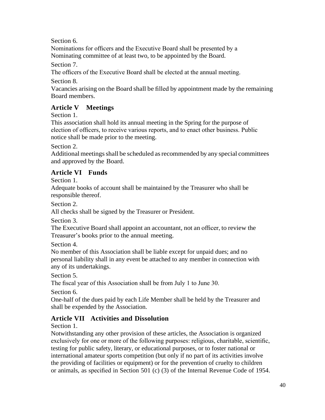Section 6.

Nominations for officers and the Executive Board shall be presented by a Nominating committee of at least two, to be appointed by the Board.

Section 7.

The officers of the Executive Board shall be elected at the annual meeting.

Section 8.

Vacancies arising on the Board shall be filled by appointment made by the remaining Board members.

#### **Article V Meetings**

Section 1.

This association shall hold its annual meeting in the Spring for the purpose of election of officers, to receive various reports, and to enact other business. Public notice shall be made prior to the meeting.

Section 2.

Additional meetings shall be scheduled as recommended by any special committees and approved by the Board.

#### **Article VI Funds**

Section 1.

Adequate books of account shall be maintained by the Treasurer who shall be responsible thereof.

Section 2.

All checks shall be signed by the Treasurer or President.

Section 3.

The Executive Board shall appoint an accountant, not an officer, to review the Treasurer's books prior to the annual meeting.

Section 4.

No member of this Association shall be liable except for unpaid dues; and no personal liability shall in any event be attached to any member in connection with any of its undertakings.

Section 5.

The fiscal year of this Association shall be from July 1 to June 30.

Section 6.

One-half of the dues paid by each Life Member shall be held by the Treasurer and shall be expended by the Association.

#### **Article VII Activities and Dissolution**

Section 1.

Notwithstanding any other provision of these articles, the Association is organized exclusively for one or more of the following purposes: religious, charitable, scientific, testing for public safety, literary, or educational purposes, or to foster national or international amateur sports competition (but only if no part of its activities involve the providing of facilities or equipment) or for the prevention of cruelty to children or animals, as specified in Section 501 (c) (3) of the Internal Revenue Code of 1954.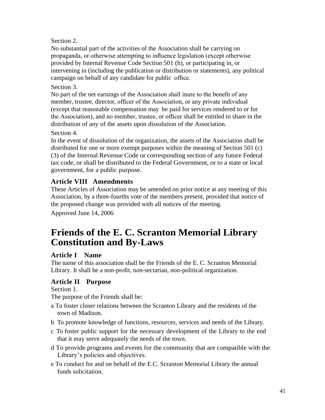Section 2.

No substantial part of the activities of the Association shall be carrying on propaganda, or otherwise attempting to influence legislation (except otherwise provided by Internal Revenue Code Section 501 (h), or participating in, or intervening in (including the publication or distribution or statements), any political campaign on behalf of any candidate for public office.

#### Section 3.

No part of the net earnings of the Association shall inure to the benefit of any member, trustee, director, officer of the Association, or any private individual (except that reasonable compensation may be paid for services rendered to or for the Association), and no member, trustee, or officer shall be entitled to share in the distribution of any of the assets upon dissolution of the Association.

#### Section 4.

In the event of dissolution of the organization, the assets of the Association shall be distributed for one or more exempt purposes within the meaning of Section 501 (c) (3) of the Internal Revenue Code or corresponding section of any future Federal tax code, or shall be distributed to the Federal Government, or to a state or local government, for a public purpose.

#### **Article VIII Amendments**

These Articles of Association may be amended on prior notice at any meeting of this Association, by a three-fourths vote of the members present, provided that notice of the proposed change was provided with all notices of the meeting.

Approved June 14, 2006

#### **Friends of the E. C. Scranton Memorial Library Constitution and By-Laws**

#### **Article I Name**

The name of this association shall be the Friends of the E. C. Scranton Memorial Library. It shall be a non-profit, non-sectarian, non-political organization.

#### **Article II Purpose**

Section 1.

The purpose of the Friends shall be:

- a To foster closer relations between the Scranton Library and the residents of the town of Madison.
- b To promote knowledge of functions, resources, services and needs of the Library.
- c To foster public support for the necessary development of the Library to the end that it may serve adequately the needs of the town.
- d To provide programs and events for the community that are compatible with the Library's policies and objectives.
- e To conduct for and on behalf of the E.C. Scranton Memorial Library the annual funds solicitation.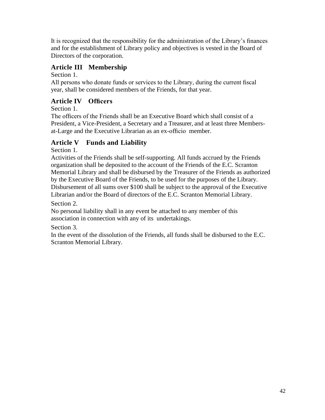It is recognized that the responsibility for the administration of the Library's finances and for the establishment of Library policy and objectives is vested in the Board of Directors of the corporation.

#### **Article III Membership**

Section 1.

All persons who donate funds or services to the Library, during the current fiscal year, shall be considered members of the Friends, for that year.

#### **Article IV Officers**

Section 1.

The officers of the Friends shall be an Executive Board which shall consist of a President, a Vice-President, a Secretary and a Treasurer, and at least three Membersat-Large and the Executive Librarian as an ex-officio member.

#### **Article V Funds and Liability**

Section 1.

Activities of the Friends shall be self-supporting. All funds accrued by the Friends organization shall be deposited to the account of the Friends of the E.C. Scranton Memorial Library and shall be disbursed by the Treasurer of the Friends as authorized by the Executive Board of the Friends, to be used for the purposes of the Library. Disbursement of all sums over \$100 shall be subject to the approval of the Executive Librarian and/or the Board of directors of the E.C. Scranton Memorial Library.

Section 2.

No personal liability shall in any event be attached to any member of this association in connection with any of its undertakings.

Section 3.

In the event of the dissolution of the Friends, all funds shall be disbursed to the E.C. Scranton Memorial Library.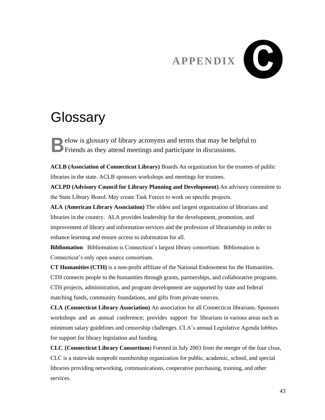# **APPENDIX**

## **Glossary**

elow is glossary of library acronyms and terms that may be helpful to **B** elow is glossary of library acronyms and terms that may be he Friends as they attend meetings and participate in discussions.

**ACLB (Association of Connecticut Library)** Boards An organization for the trustees of public libraries in the state. ACLB sponsors workshops and meetings for trustees.

**ACLPD (Advisory Council for Library Planning and Development)** An advisory committee to the State Library Board. May create Task Forces to work on specific projects.

**ALA (American Library Association)** The oldest and largest organization of librarians and libraries in the country. ALA provides leadership for the development, promotion, and improvement of library and information services and the profession of librarianship in order to enhance learning and ensure access to information for all.

**Bibliomation** Bibliomation is Connecticut's largest library consortium. Bibliomation is Connecticut's only open source consortium.

**CT Humanities (CTH)** is a non-profit affiliate of the National Endowment for the Humanities. CTH connects people to the humanities through grants, partnerships, and collaborative programs. CTH projects, administration, and program development are supported by state and federal matching funds, community foundations, and gifts from private sources.

**CLA (Connecticut Library Association)** An association for all Connecticut librarians. Sponsors workshops and an annual conference; provides support for librarians in various areas such as minimum salary guidelines and censorship challenges. CLA's annual Legislative Agenda lobbies for support for library legislation and funding.

**CLC (Connecticut Library Consortium**) Formed in July 2003 from the merger of the four clsus, CLC is a statewide nonprofit membership organization for public, academic, school, and special libraries providing networking, communications, cooperative purchasing, training, and other services.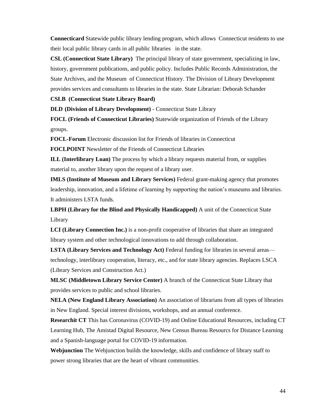**Connecticard** Statewide public library lending program, which allows Connecticut residents to use their local public library cards in all public libraries in the state.

**CSL (Connecticut State Library)** The principal library of state government, specializing in law, history, government publications, and public policy. Includes Public Records Administration, the State Archives, and the Museum of Connecticut History. The Division of Library Development provides services and consultants to libraries in the state. State Librarian: Deborah Schander

#### **CSLB (Connecticut State Library Board)**

**DLD (Division of Library Development)** - Connecticut State Library

**FOCL (Friends of Connecticut Libraries)** Statewide organization of Friends of the Library groups.

**FOCL-Forum** Electronic discussion list for Friends of libraries in Connecticut

**FOCLPOINT** Newsletter of the Friends of Connecticut Libraries

**ILL (Interlibrary Loan)** The process by which a library requests material from, or supplies material to, another library upon the request of a library user.

**IMLS (Institute of Museum and Library Services)** Federal grant-making agency that promotes leadership, innovation, and a lifetime of learning by supporting the nation's museums and libraries. It administers LSTA funds.

**LBPH (Library for the Blind and Physically Handicapped)** A unit of the Connecticut State Library

**LCI (Library Connection Inc.)** is a non-profit cooperative of libraries that share an integrated library system and other technological innovations to add through collaboration.

**LSTA (Library Services and Technology Act)** Federal funding for libraries in several areas technology, interlibrary cooperation, literacy, etc., and for state library agencies. Replaces LSCA (Library Services and Construction Act.)

**MLSC (Middletown Library Service Center)** A branch of the Connecticut State Library that provides services to public and school libraries.

**NELA (New England Library Association)** An association of librarians from all types of libraries in New England. Special interest divisions, workshops, and an annual conference.

**Researchit CT** This has Coronavirus (COVID-19) and Online Educational Resources, including CT Learning Hub, The Amistad Digital Resource, New Census Bureau Resourcs for Distance Learning and a Spanish-language portal for COVID-19 information.

**Webjunction** The Webjunction builds the knowledge, skills and confidence of library staff to power strong libraries that are the heart of vibrant communities.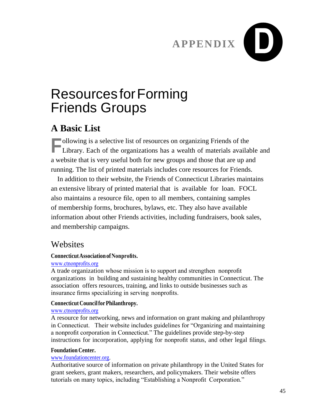

## Resources forForming Friends Groups

#### **A Basic List**

**F** ollowing is a selective list of resources on organizing Friends of the Library. Each of the organizations has a wealth of materials available Library. Each of the organizations has a wealth of materials available and a website that is very useful both for new groups and those that are up and running. The list of printed materials includes core resources for Friends.

In addition to their website, the Friends of Connecticut Libraries maintains an extensive library of printed material that is available for loan. FOCL also maintains a resource file, open to all members, containing samples of membership forms, brochures, bylaws, etc. They also have available information about other Friends activities, including fundraisers, book sales, and membership campaigns.

#### **Websites**

#### **ConnecticutAssociationofNonprofits.**

#### [www.ctnonprofits.org](http://www.ctnonprofits.org/)

A trade organization whose mission is to support and strengthen nonprofit organizations in building and sustaining healthy communities in Connecticut. The association offers resources, training, and links to outside businesses such as insurance firms specializing in serving nonprofits.

#### **Connecticut CouncilforPhilanthropy.**

#### [www.ctnonprofits.org](http://www.ctnonprofits.org/)

A resource for networking, news and information on grant making and philanthropy in Connecticut. Their website includes guidelines for "Organizing and maintaining a nonprofit corporation in Connecticut." The guidelines provide step-by-step instructions for incorporation, applying for nonprofit status, and other legal filings.

#### **Foundation Center.**

#### [www.foundationcenter.org.](http://www.foundationcenter.org/)

Authoritative source of information on private philanthropy in the United States for grant seekers, grant makers, researchers, and policymakers. Their website offers tutorials on many topics, including "Establishing a Nonprofit Corporation."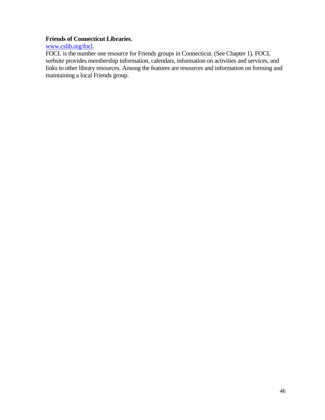#### **Friends of Connecticut Libraries.**

[www.cslib.org/focl.](http://www.cslib.org/focl)

FOCL is the number one resource for Friends groups in Connecticut. (See Chapter 1). FOCL website provides membership information, calendars, information on activities and services, and links to other library resources. Among the features are resources and information on forming and maintaining a local Friends group.